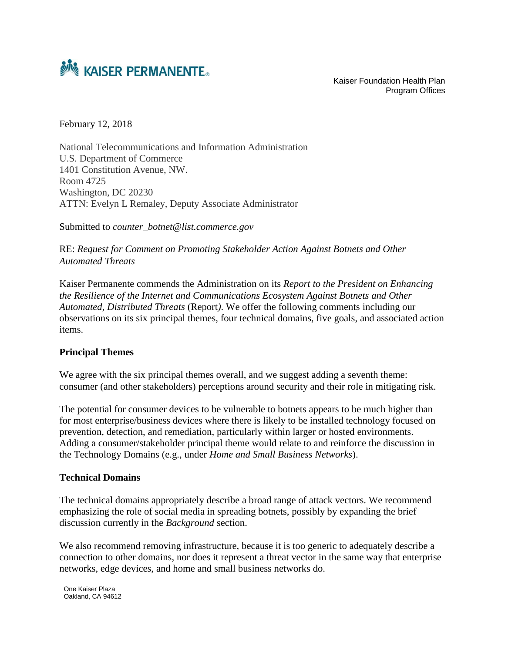

Program Offices

February 12, 2018

National Telecommunications and Information Administration U.S. Department of Commerce 1401 Constitution Avenue, NW. Room 4725 Washington, DC 20230 ATTN: Evelyn L Remaley, Deputy Associate Administrator

Submitted to *counter\_botnet@list.commerce.gov*

RE: *Request for Comment on Promoting Stakeholder Action Against Botnets and Other Automated Threats*

Kaiser Permanente commends the Administration on its *Report to the President on Enhancing the Resilience of the Internet and Communications Ecosystem Against Botnets and Other Automated, Distributed Threats* (Report*)*. We offer the following comments including our observations on its six principal themes, four technical domains, five goals, and associated action items.

#### **Principal Themes**

We agree with the six principal themes overall, and we suggest adding a seventh theme: consumer (and other stakeholders) perceptions around security and their role in mitigating risk.

The potential for consumer devices to be vulnerable to botnets appears to be much higher than for most enterprise/business devices where there is likely to be installed technology focused on prevention, detection, and remediation, particularly within larger or hosted environments. Adding a consumer/stakeholder principal theme would relate to and reinforce the discussion in the Technology Domains (e.g., under *Home and Small Business Networks*).

#### **Technical Domains**

The technical domains appropriately describe a broad range of attack vectors. We recommend emphasizing the role of social media in spreading botnets, possibly by expanding the brief discussion currently in the *Background* section.

We also recommend removing infrastructure, because it is too generic to adequately describe a connection to other domains, nor does it represent a threat vector in the same way that enterprise networks, edge devices, and home and small business networks do.

One Kaiser Plaza Oakland, CA 94612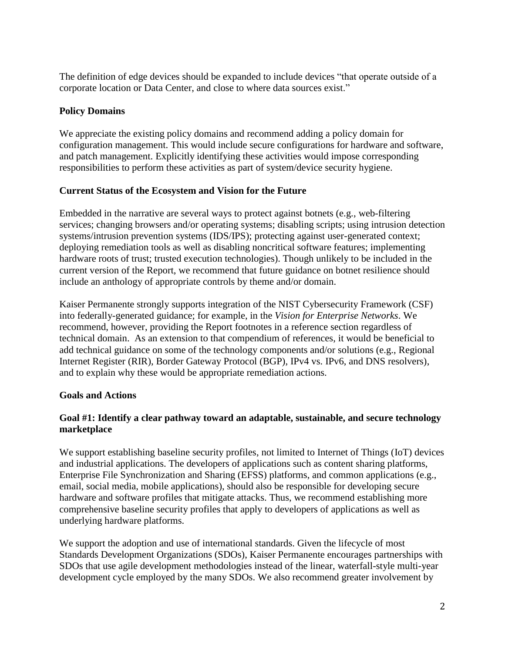The definition of edge devices should be expanded to include devices "that operate outside of a corporate location or Data Center, and close to where data sources exist."

# **Policy Domains**

We appreciate the existing policy domains and recommend adding a policy domain for configuration management. This would include secure configurations for hardware and software, and patch management. Explicitly identifying these activities would impose corresponding responsibilities to perform these activities as part of system/device security hygiene.

# **Current Status of the Ecosystem and Vision for the Future**

Embedded in the narrative are several ways to protect against botnets (e.g., web-filtering services; changing browsers and/or operating systems; disabling scripts; using intrusion detection systems/intrusion prevention systems (IDS/IPS); protecting against user-generated context; deploying remediation tools as well as disabling noncritical software features; implementing hardware roots of trust; trusted execution technologies). Though unlikely to be included in the current version of the Report, we recommend that future guidance on botnet resilience should include an anthology of appropriate controls by theme and/or domain.

Kaiser Permanente strongly supports integration of the NIST Cybersecurity Framework (CSF) into federally-generated guidance; for example, in the *Vision for Enterprise Networks*. We recommend, however, providing the Report footnotes in a reference section regardless of technical domain. As an extension to that compendium of references, it would be beneficial to add technical guidance on some of the technology components and/or solutions (e.g., Regional Internet Register (RIR), Border Gateway Protocol (BGP), IPv4 vs. IPv6, and DNS resolvers), and to explain why these would be appropriate remediation actions.

## **Goals and Actions**

# **Goal #1: Identify a clear pathway toward an adaptable, sustainable, and secure technology marketplace**

We support establishing baseline security profiles, not limited to Internet of Things (IoT) devices and industrial applications. The developers of applications such as content sharing platforms, Enterprise File Synchronization and Sharing (EFSS) platforms, and common applications (e.g., email, social media, mobile applications), should also be responsible for developing secure hardware and software profiles that mitigate attacks. Thus, we recommend establishing more comprehensive baseline security profiles that apply to developers of applications as well as underlying hardware platforms.

We support the adoption and use of international standards. Given the lifecycle of most Standards Development Organizations (SDOs), Kaiser Permanente encourages partnerships with SDOs that use agile development methodologies instead of the linear, waterfall-style multi-year development cycle employed by the many SDOs. We also recommend greater involvement by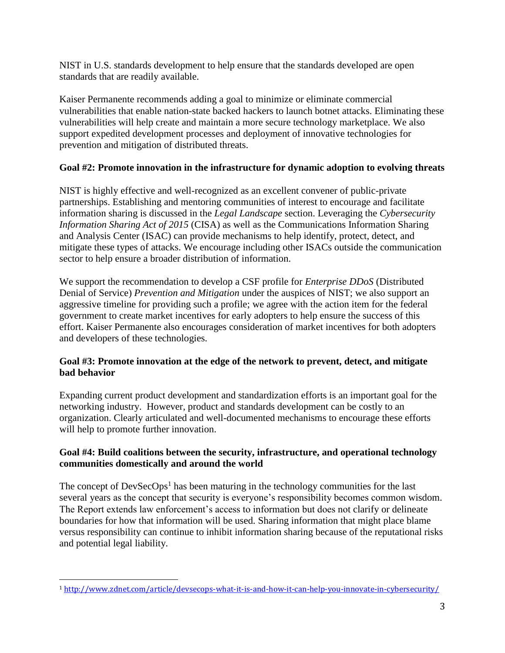NIST in U.S. standards development to help ensure that the standards developed are open standards that are readily available.

Kaiser Permanente recommends adding a goal to minimize or eliminate commercial vulnerabilities that enable nation-state backed hackers to launch botnet attacks. Eliminating these vulnerabilities will help create and maintain a more secure technology marketplace. We also support expedited development processes and deployment of innovative technologies for prevention and mitigation of distributed threats.

## **Goal #2: Promote innovation in the infrastructure for dynamic adoption to evolving threats**

NIST is highly effective and well-recognized as an excellent convener of public-private partnerships. Establishing and mentoring communities of interest to encourage and facilitate information sharing is discussed in the *Legal Landscape* section. Leveraging the *Cybersecurity Information Sharing Act of 2015* (CISA) as well as the Communications Information Sharing and Analysis Center (ISAC) can provide mechanisms to help identify, protect, detect, and mitigate these types of attacks. We encourage including other ISACs outside the communication sector to help ensure a broader distribution of information.

We support the recommendation to develop a CSF profile for *Enterprise DDoS* (Distributed Denial of Service) *Prevention and Mitigation* under the auspices of NIST; we also support an aggressive timeline for providing such a profile; we agree with the action item for the federal government to create market incentives for early adopters to help ensure the success of this effort. Kaiser Permanente also encourages consideration of market incentives for both adopters and developers of these technologies.

## **Goal #3: Promote innovation at the edge of the network to prevent, detect, and mitigate bad behavior**

Expanding current product development and standardization efforts is an important goal for the networking industry. However, product and standards development can be costly to an organization. Clearly articulated and well-documented mechanisms to encourage these efforts will help to promote further innovation.

## **Goal #4: Build coalitions between the security, infrastructure, and operational technology communities domestically and around the world**

The concept of  $DevSecOps<sup>1</sup>$  has been maturing in the technology communities for the last several years as the concept that security is everyone's responsibility becomes common wisdom. The Report extends law enforcement's access to information but does not clarify or delineate boundaries for how that information will be used. Sharing information that might place blame versus responsibility can continue to inhibit information sharing because of the reputational risks and potential legal liability.

l

<sup>1</sup> <http://www.zdnet.com/article/devsecops-what-it-is-and-how-it-can-help-you-innovate-in-cybersecurity/>